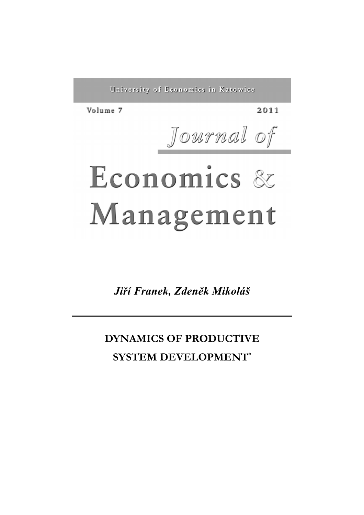University of Economics in Katowice

Volume 7

2011

Journal of

# Economics & Management

*Jiří Franek, Zdeněk Mikoláš* 

**DYNAMICS OF PRODUCTIVE SYSTEM DEVELOPMENT\***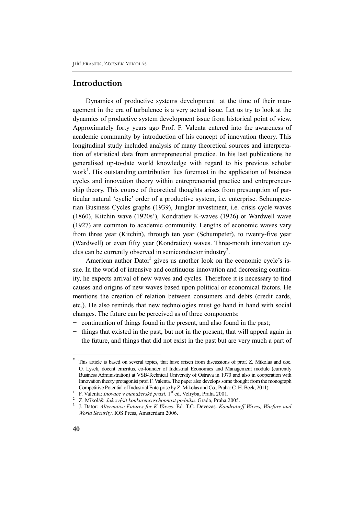### **Introduction**

Dynamics of productive systems development at the time of their management in the era of turbulence is a very actual issue. Let us try to look at the dynamics of productive system development issue from historical point of view. Approximately forty years ago Prof. F. Valenta entered into the awareness of academic community by introduction of his concept of innovation theory. This longitudinal study included analysis of many theoretical sources and interpretation of statistical data from entrepreneurial practice. In his last publications he generalised up-to-date world knowledge with regard to his previous scholar work<sup>1</sup>. His outstanding contribution lies foremost in the application of business cycles and innovation theory within entrepreneurial practice and entrepreneurship theory. This course of theoretical thoughts arises from presumption of particular natural 'cyclic' order of a productive system, i.e. enterprise. Schumpeterian Business Cycles graphs (1939), Junglar investment, i.e. crisis cycle waves (1860), Kitchin wave (1920s'), Kondratiev K-waves (1926) or Wardwell wave (1927) are common to academic community. Lengths of economic waves vary from three year (Kitchin), through ten year (Schumpeter), to twenty-five year (Wardwell) or even fifty year (Kondratiev) waves. Three-month innovation cycles can be currently observed in semiconductor industry<sup>2</sup>.

American author Dator<sup>3</sup> gives us another look on the economic cycle's issue. In the world of intensive and continuous innovation and decreasing continuity, he expects arrival of new waves and cycles. Therefore it is necessary to find causes and origins of new waves based upon political or economical factors. He mentions the creation of relation between consumers and debts (credit cards, etc.). He also reminds that new technologies must go hand in hand with social changes. The future can be perceived as of three components:

- − continuation of things found in the present, and also found in the past;
- − things that existed in the past, but not in the present, that will appeal again in the future, and things that did not exist in the past but are very much a part of

<sup>\*</sup> This article is based on several topics, that have arisen from discussions of prof. Z. Mikolas and doc. O. Lysek, docent emeritus, co-founder of Industrial Economics and Management module (currently Business Administration) at VSB-Technical University of Ostrava in 1970 and also in cooperation with Innovation theory protagonist prof. F. Valenta. The paper also develops some thought from the monograph Competitive Potential of Industrial Enterprise by Z. Mikolas and Co., Praha: C. H. Beck, 2011). 1

<sup>&</sup>lt;sup>1</sup> F. Valenta: *Inovace v manažerské praxi*. 1<sup>st</sup>ed. Velryba, Praha 2001.

<sup>&</sup>lt;sup>2</sup> Z. Mikoláš: *Jak zvýšit konkurenceschopnost podniku*. Grada, Praha 2005.

J. Dator: *Alternative Futures for K-Waves*. Ed. T.C. Devezas. *Kondratieff Waves, Warfare and World Security*. IOS Press, Amsterdam 2006.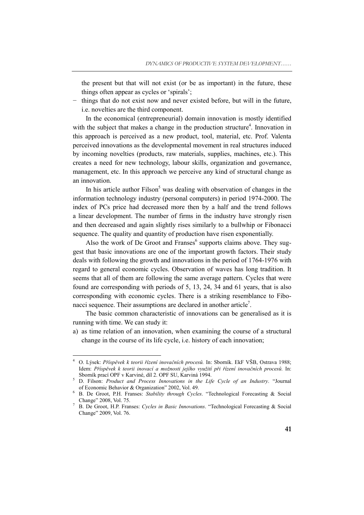the present but that will not exist (or be as important) in the future, these things often appear as cycles or 'spirals';

− things that do not exist now and never existed before, but will in the future, i.e. novelties are the third component.

In the economical (entrepreneurial) domain innovation is mostly identified with the subject that makes a change in the production structure<sup>4</sup>. Innovation in this approach is perceived as a new product, tool, material, etc. Prof. Valenta perceived innovations as the developmental movement in real structures induced by incoming novelties (products, raw materials, supplies, machines, etc.). This creates a need for new technology, labour skills, organization and governance, management, etc. In this approach we perceive any kind of structural change as an innovation.

In his article author Filson<sup>5</sup> was dealing with observation of changes in the information technology industry (personal computers) in period 1974-2000. The index of PCs price had decreased more then by a half and the trend follows a linear development. The number of firms in the industry have strongly risen and then decreased and again slightly rises similarly to a bullwhip or Fibonacci sequence. The quality and quantity of production have risen exponentially.

Also the work of De Groot and Franses<sup>6</sup> supports claims above. They suggest that basic innovations are one of the important growth factors. Their study deals with following the growth and innovations in the period of 1764-1976 with regard to general economic cycles. Observation of waves has long tradition. It seems that all of them are following the same average pattern. Cycles that were found are corresponding with periods of 5, 13, 24, 34 and 61 years, that is also corresponding with economic cycles. There is a striking resemblance to Fibonacci sequence. Their assumptions are declared in another article<sup>7</sup>.

The basic common characteristic of innovations can be generalised as it is running with time. We can study it:

a) as time relation of an innovation, when examining the course of a structural change in the course of its life cycle, i.e. history of each innovation;

<sup>4</sup> O. Lýsek: *Příspěvek k teorii řízení inovačních procesů.* In: Sborník. EkF VŠB, Ostrava 1988; Idem: *Příspěvek k teorii inovací a možnosti jejího využití při řízení inovačních procesů.* In: Sborník prací OPF v Karviné, díl 2. OPF SU, Karviná 1994. 5

D. Filson: *Product and Process Innovations in the Life Cycle of an Industry*. "Journal of Economic Behavior & Organization" 2002, Vol. 49. 6

B. De Groot, P.H. Franses: *Stability through Cycles*. "Technological Forecasting & Social Change" 2008, Vol. 75.

B. De Groot, H.P. Franses: *Cycles in Basic Innovations*. "Technological Forecasting & Social Change" 2009, Vol. 76.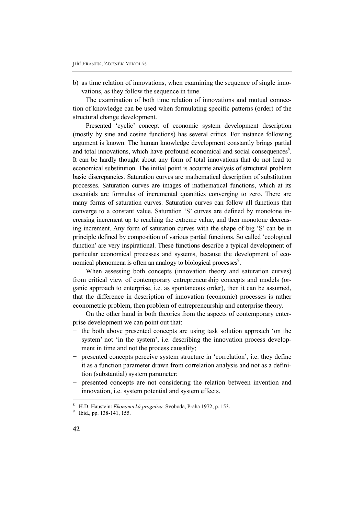b) as time relation of innovations, when examining the sequence of single innovations, as they follow the sequence in time.

The examination of both time relation of innovations and mutual connection of knowledge can be used when formulating specific patterns (order) of the structural change development.

Presented 'cyclic' concept of economic system development description (mostly by sine and cosine functions) has several critics. For instance following argument is known. The human knowledge development constantly brings partial and total innovations, which have profound economical and social consequences<sup>8</sup>. It can be hardly thought about any form of total innovations that do not lead to economical substitution. The initial point is accurate analysis of structural problem basic discrepancies. Saturation curves are mathematical description of substitution processes. Saturation curves are images of mathematical functions, which at its essentials are formulas of incremental quantities converging to zero. There are many forms of saturation curves. Saturation curves can follow all functions that converge to a constant value. Saturation 'S' curves are defined by monotone increasing increment up to reaching the extreme value, and then monotone decreasing increment. Any form of saturation curves with the shape of big 'S' can be in principle defined by composition of various partial functions. So called 'ecological function' are very inspirational. These functions describe a typical development of particular economical processes and systems, because the development of economical phenomena is often an analogy to biological processes<sup>9</sup>.

When assessing both concepts (innovation theory and saturation curves) from critical view of contemporary entrepreneurship concepts and models (organic approach to enterprise, i.e. as spontaneous order), then it can be assumed, that the difference in description of innovation (economic) processes is rather econometric problem, then problem of entrepreneurship and enterprise theory.

On the other hand in both theories from the aspects of contemporary enterprise development we can point out that:

- − the both above presented concepts are using task solution approach 'on the system' not 'in the system', i.e. describing the innovation process development in time and not the process causality;
- presented concepts perceive system structure in 'correlation', i.e. they define it as a function parameter drawn from correlation analysis and not as a definition (substantial) system parameter;
- presented concepts are not considering the relation between invention and innovation, i.e. system potential and system effects.

<sup>&</sup>lt;sup>8</sup> H.D. Haustein: *Ekonomická prognóza*. Svoboda, Praha 1972, p. 153.<br><sup>9</sup> bid. pp. 138-141-155

 $9$  Ibid., pp. 138-141, 155.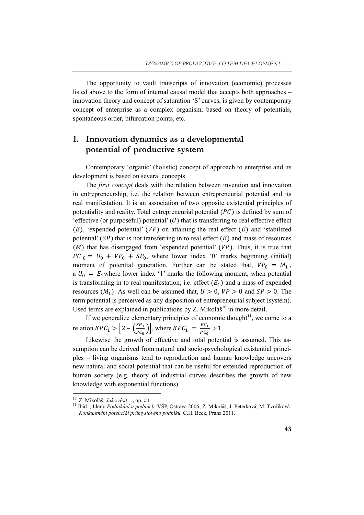The opportunity to vault transcripts of innovation (economic) processes listed above to the form of internal causal model that accepts both approaches – innovation theory and concept of saturation 'S' curves, is given by contemporary concept of enterprise as a complex organism, based on theory of potentials, spontaneous order, bifurcation points, etc.

# **1. Innovation dynamics as a developmental potential of productive system**

Contemporary 'organic' (holistic) concept of approach to enterprise and its development is based on several concepts.

The *first concept* deals with the relation between invention and innovation in entrepreneurship, i.e. the relation between entrepreneurial potential and its real manifestation. It is an association of two opposite existential principles of potentiality and reality. Total entrepreneurial potential  $(PC)$  is defined by sum of 'effective (or purposeful) potential'  $(U)$  that is transferring to real effective effect  $(E)$ , 'expended potential'  $(VP)$  on attaining the real effect  $(E)$  and 'stabilized potential'  $(SP)$  that is not transferring in to real effect  $(E)$  and mass of resources  $(M)$  that has disengaged from 'expended potential'  $(VP)$ . Thus, it is true that  ${PC}_0 = U_0 + VP_0 + SP_0$ , where lower index '0' marks beginning (initial) moment of potential generation. Further can be stated that,  $VP_0 = M_1$ , a  $U_0 = E_1$  where lower index '1' marks the following moment, when potential is transforming in to real manifestation, i.e. effect  $(E_1)$  and a mass of expended resources  $(M_1)$ . As well can be assumed that,  $U > 0$ ,  $VP > 0$  and  $SP > 0$ . The term potential is perceived as any disposition of entrepreneurial subject (system). Used terms are explained in publications by Z. Mikoláš $10$  in more detail.

If we generalize elementary principles of economic thought $11$ , we come to a relation  $KPC_1 > \left[2 - \left(\frac{SP_0}{PC_0}\right)\right]$ , where  $KPC_1 = \frac{PC_1}{PC_0}$  $\frac{PC_1}{PC_0} > 1.$ 

Likewise the growth of effective and total potential is assumed. This assumption can be derived from natural and socio-psychological existential principles – living organisms tend to reproduction and human knowledge uncovers new natural and social potential that can be useful for extended reproduction of human society (e.g. theory of industrial curves describes the growth of new knowledge with exponential functions).

<sup>&</sup>lt;sup>10</sup> Z. Mikoláš: *Jak zvýšit*…, op. cit.<br><sup>11</sup> Ibid..; Idem: *Podnikání a podnik b*. VŠP, Ostrava 2006; Z. Mikoláš, J. Peterková, M. Tvrdíková: *Konkurenční potenciál průmyslového podniku*. C.H. Beck, Praha 2011.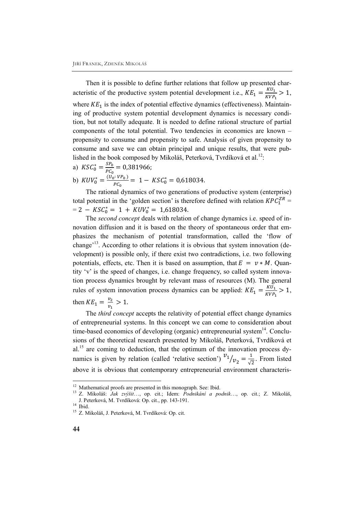Then it is possible to define further relations that follow up presented characteristic of the productive system potential development i.e.,  $KE_1 = \frac{KU_1}{KVP_1} > 1$ , where  $KE_1$  is the index of potential effective dynamics (effectiveness). Maintaining of productive system potential development dynamics is necessary condition, but not totally adequate. It is needed to define rational structure of partial components of the total potential. Two tendencies in economics are known propensity to consume and propensity to safe. Analysis of given propensity to consume and save we can obtain principal and unique results, that were published in the book composed by Mikoláš, Peterková, Tvrdíková et al.<sup>12</sup>:

- a)  $KSC_0^* = \frac{SP_0}{PC_0} = 0.381966;$
- b)  $KUV_0^* = \frac{(U_0:VP_0)}{PC_0} = 1 KSC_0^* = 0.618034.$

The rational dynamics of two generations of productive system (enterprise) total potential in the 'golden section' is therefore defined with relation  $KPC^{ZR}_1$  =  $= 2 - KSC_0^* = 1 + KUV_0^* = 1,618034.$ 

The *second concept* deals with relation of change dynamics i.e. speed of innovation diffusion and it is based on the theory of spontaneous order that emphasizes the mechanism of potential transformation, called the 'flow of change<sup> $13$ </sup>. According to other relations it is obvious that system innovation (development) is possible only, if there exist two contradictions, *i.e.* two following potentials, effects, etc. Then it is based on assumption, that  $E = v * M$ . Quantity 'v' is the speed of changes, i.e. change frequency, so called system innovation process dynamics brought by relevant mass of resources (M). The general rules of system innovation process dynamics can be applied:  $KE_1 = \frac{KU_1}{KVP_1} > 1$ , then  $KE_1 = \frac{v_2}{v_1} > 1$ .

The *third concept* accepts the relativity of potential effect change dynamics of entrepreneurial systems. In this concept we can come to consideration about time-based economics of developing (organic) entrepreneurial system<sup>14</sup>. Conclusions of the theoretical research presented by Mikoláš, Peterková, Tvrdíková et al.<sup>15</sup> are coming to deduction, that the optimum of the innovation process dynamics is given by relation (called 'relative section')  $v_1/v_2 = \frac{1}{\sqrt{2}}$ . From listed above it is obvious that contemporary entrepreneurial environment characteris-

<sup>&</sup>lt;sup>12</sup> Mathematical proofs are presented in this monograph. See: Ibid.

<sup>&</sup>lt;sup>13</sup> Z. Mikoláš: Jak zvýšit..., op. cit.; Idem: Podnikání a podnik..., op. cit.; Z. Mikoláš, J. Peterková, M. Tvrdíková: Op. cit., pp. 143-191.<br><sup>14</sup> Ibid.

<sup>&</sup>lt;sup>15</sup> Z. Mikoláš, J. Peterková, M. Tvrdíková: Op. cit.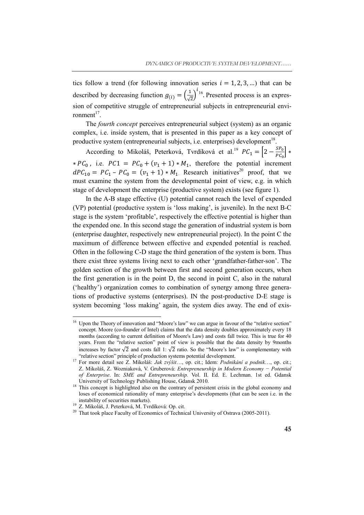tics follow a trend (for following innovation series  $i = 1, 2, 3, ...$ ) that can be described by decreasing function  $g_{(i)} = \left(\frac{1}{\sqrt{2}}\right)^{i_{16}}$ . Presented process is an expression of competitive struggle of entrepreneurial subjects in entrepreneurial environment $17$ 

The *fourth concept* perceives entrepreneurial subject (system) as an organic complex, i.e. inside system, that is presented in this paper as a key concept of productive system (entrepreneurial subjects, i.e. enterprises) development<sup>18</sup>.

According to Mikoláš, Peterková, Tvrdíková et al.<sup>19</sup>  $PC_1 = \left[2 - \frac{SP_0}{PC_0}\right] *$  $*PC_0$ , i.e.  $PC_1 = PC_0 + (v_1 + 1) * M_1$ , therefore the potential increment  $dPC_{10} = PC_1 - PC_0 = (v_1 + 1) * M_1$ . Research initiatives<sup>20</sup> proof, that we must examine the system from the developmental point of view, e.g. in which stage of development the enterprise (productive system) exists (see figure 1).

In the A-B stage effective (U) potential cannot reach the level of expended (VP) potential (productive system is 'loss making', is juvenile). In the next B-C stage is the system 'profitable', respectively the effective potential is higher than the expended one. In this second stage the generation of industrial system is born (enterprise daughter, respectively new entrepreneurial project). In the point C the maximum of difference between effective and expended potential is reached. Often in the following C-D stage the third generation of the system is born. Thus there exist three systems living next to each other 'grandfather-father-son'. The golden section of the growth between first and second generation occurs, when the first generation is in the point D, the second in point C, also in the natural ('healthy') organization comes to combination of synergy among three generations of productive systems (enterprises). IN the post-productive D-E stage is system becoming 'loss making' again, the system dies away. The end of exis-

<sup>&</sup>lt;sup>16</sup> Upon the Theory of innovation and "Moore's law" we can argue in favour of the "relative section" concept. Moore (co-founder of Intel) claims that the data density doubles approximately every 18 months (according to current definition of Moore's Law) and costs fall twice. This is true for 40 years. From the "relative section" point of view is possible that the data density by 9months increases by factor  $\sqrt{2}$  and costs fall 1:  $\sqrt{2}$  ratio. So the "Moore's law" is complementary with "relative section" principle of production systems potential development.

<sup>&</sup>lt;sup>17</sup> For more detail see Z. Mikoláš: *Jak zvýšit*…, op. cit.; Idem: *Podnikání a podnik*…, op. cit.; Z. Mikoláš, Z. Wozniaková, V. Gruberová: *Entrepreneurship in Modern Economy − Potential of Enterprise*. In: *SME and Entrepreneurship.* Vol. II. Ed. E. Lechman. 1st ed. Gdansk

University of Technology Publishing House, Gdansk 2010.<br><sup>18</sup> This concept is highlighted also on the contrary of persistent crisis in the global economy and loses of economical rationality of many enterprise's developments (that can be seen i.e. in the instability of securities markets). 19 Z. Mikoláš, J. Peterková, M. Tvrdíková: Op. cit.

<sup>&</sup>lt;sup>20</sup> That took place Faculty of Economics of Technical University of Ostrava (2005-2011).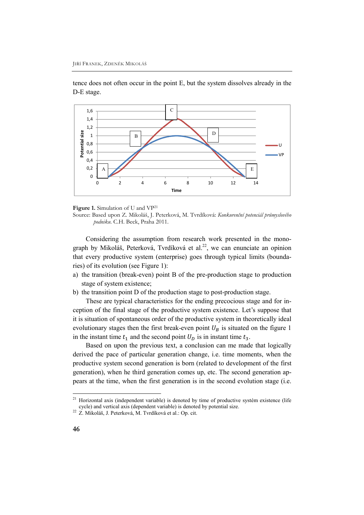tence does not often occur in the point E, but the system dissolves already in the D-E stage.



Figure 1. Simulation of U and VP<sup>21</sup>

Source: Based upon Z. Mikoláš, J. Peterková, M. Tvrdíková: *Konkurenční potenciál průmyslového podniku*. C.H. Beck, Praha 2011.

Considering the assumption from research work presented in the monograph by Mikoláš, Peterková, Tvrdíková et al. $^{22}$ , we can enunciate an opinion that every productive system (enterprise) goes through typical limits (boundaries) of its evolution (see Figure 1):

- a) the transition (break-even) point B of the pre-production stage to production stage of system existence;
- b) the transition point  $D$  of the production stage to post-production stage.

These are typical characteristics for the ending precocious stage and for inception of the final stage of the productive system existence. Let's suppose that it is situation of spontaneous order of the productive system in theoretically ideal evolutionary stages then the first break-even point  $U_B$  is situated on the figure 1 in the instant time  $t_1$  and the second point  $U_D$  is in instant time  $t_3$ .

Based on upon the previous text, a conclusion can me made that logically derived the pace of particular generation change, i.e. time moments, when the productive system second generation is born (related to development of the first generation), when he third generation comes up, etc. The second generation appears at the time, when the first generation is in the second evolution stage (i.e.

 $21$  Horizontal axis (independent variable) is denoted by time of productive systém existence (life cycle) and vertical axis (dependent variable) is denoted by potential size. 22 Z. Mikoláš, J. Peterková, M. Tvrdíková et al.: Op. cit.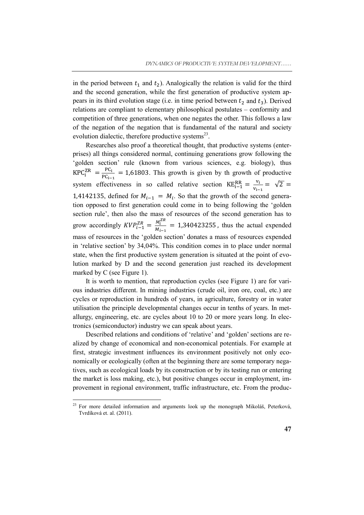in the period between  $t_1$  and  $t_2$ ). Analogically the relation is valid for the third and the second generation, while the first generation of productive system appears in its third evolution stage (i.e. in time period between  $t_2$  and  $t_3$ ). Derived relations are compliant to elementary philosophical postulates - conformity and competition of three generations, when one negates the other. This follows a law of the negation of the negation that is fundamental of the natural and society evolution dialectic, therefore productive systems<sup>23</sup>.

Researches also proof a theoretical thought, that productive systems (enterprises) all things considered normal, continuing generations grow following the 'golden section' rule (known from various sciences, e.g. biology), thus  $KPC_i^{ZR} = \frac{PC_i}{PC_{i-1}} = 1,61803$ . This growth is given by th growth of productive system effectiveness in so called relative section  $KE_{i-1}^{RR} = \frac{v_i}{v_{i-1}} = \sqrt{2}$ 1,4142135, defined for  $M_{i-1} = M_i$ . So that the growth of the second generation opposed to first generation could come in to being following the 'golden section rule', then also the mass of resources of the second generation has to grow accordingly  $KVP_{i-1}^{ZR} = \frac{M_i^{ZR}}{M_{i-1}} = 1,340423255$ , thus the actual expended mass of resources in the 'golden section' donates a mass of resources expended in 'relative section' by 34,04%. This condition comes in to place under normal state, when the first productive system generation is situated at the point of evolution marked by D and the second generation just reached its development marked by C (see Figure 1).

It is worth to mention, that reproduction cycles (see Figure 1) are for various industries different. In mining industries (crude oil, iron ore, coal, etc.) are cycles or reproduction in hundreds of years, in agriculture, forestry or in water utilisation the principle developmental changes occur in tenths of years. In metallurgy, engineering, etc. are cycles about 10 to 20 or more years long. In electronics (semiconductor) industry we can speak about years.

Described relations and conditions of 'relative' and 'golden' sections are realized by change of economical and non-economical potentials. For example at first, strategic investment influences its environment positively not only economically or ecologically (often at the beginning there are some temporary negatives, such as ecological loads by its construction or by its testing run or entering the market is loss making, etc.), but positive changes occur in employment, improvement in regional environment, traffic infrastructure, etc. From the produc-

<sup>&</sup>lt;sup>23</sup> For more detailed information and arguments look up the monograph Mikoláš, Peterková, Tvrdíková et. al. (2011).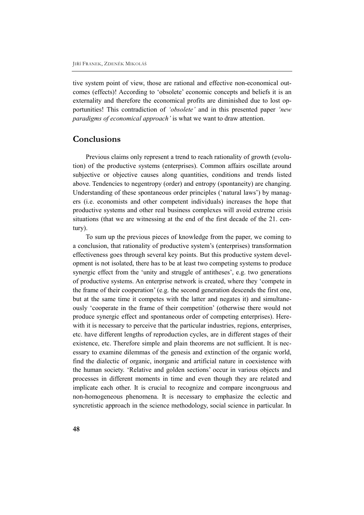tive system point of view, those are rational and effective non-economical outcomes (effects)! According to 'obsolete' economic concepts and beliefs it is an externality and therefore the economical profits are diminished due to lost opportunities! This contradiction of *'obsolete'* and in this presented paper *'new paradigms of economical approach'* is what we want to draw attention.

# **Conclusions**

Previous claims only represent a trend to reach rationality of growth (evolution) of the productive systems (enterprises). Common affairs oscillate around subjective or objective causes along quantities, conditions and trends listed above. Tendencies to negentropy (order) and entropy (spontaneity) are changing. Understanding of these spontaneous order principles ('natural laws') by managers (i.e. economists and other competent individuals) increases the hope that productive systems and other real business complexes will avoid extreme crisis situations (that we are witnessing at the end of the first decade of the 21. century).

To sum up the previous pieces of knowledge from the paper, we coming to a conclusion, that rationality of productive system's (enterprises) transformation effectiveness goes through several key points. But this productive system development is not isolated, there has to be at least two competing systems to produce synergic effect from the 'unity and struggle of antitheses', e.g. two generations of productive systems. An enterprise network is created, where they 'compete in the frame of their cooperation' (e.g. the second generation descends the first one, but at the same time it competes with the latter and negates it) and simultaneously 'cooperate in the frame of their competition' (otherwise there would not produce synergic effect and spontaneous order of competing enterprises). Herewith it is necessary to perceive that the particular industries, regions, enterprises, etc. have different lengths of reproduction cycles, are in different stages of their existence, etc. Therefore simple and plain theorems are not sufficient. It is necessary to examine dilemmas of the genesis and extinction of the organic world, find the dialectic of organic, inorganic and artificial nature in coexistence with the human society. 'Relative and golden sections' occur in various objects and processes in different moments in time and even though they are related and implicate each other. It is crucial to recognize and compare incongruous and non-homogeneous phenomena. It is necessary to emphasize the eclectic and syncretistic approach in the science methodology, social science in particular. In